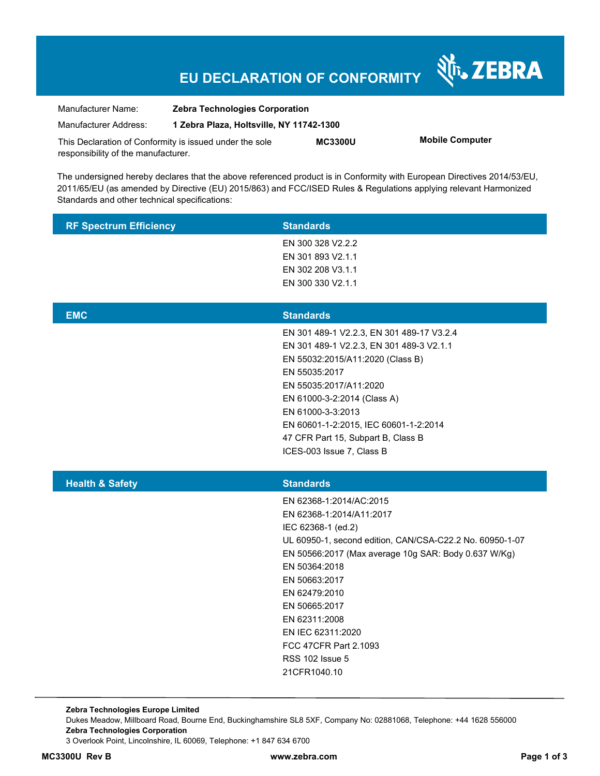# **EU DECLARATION OF CONFORMITY**

Nr. ZEBRA

| Manufacturer Name:                                      | <b>Zebra Technologies Corporation</b>    |                |                        |
|---------------------------------------------------------|------------------------------------------|----------------|------------------------|
| Manufacturer Address:                                   | 1 Zebra Plaza, Holtsville, NY 11742-1300 |                |                        |
| This Declaration of Conformity is issued under the sole |                                          | <b>MC3300U</b> | <b>Mobile Computer</b> |
| responsibility of the manufacturer.                     |                                          |                |                        |

The undersigned hereby declares that the above referenced product is in Conformity with European Directives 2014/53/EU, 2011/65/EU (as amended by Directive (EU) 2015/863) and FCC/ISED Rules & Regulations applying relevant Harmonized Standards and other technical specifications:

| <b>RF Spectrum Efficiency</b> | <b>Standards</b>                                                                                                                                                                                                                                                                                                                                                    |
|-------------------------------|---------------------------------------------------------------------------------------------------------------------------------------------------------------------------------------------------------------------------------------------------------------------------------------------------------------------------------------------------------------------|
|                               | EN 300 328 V2.2.2<br>EN 301 893 V2.1.1<br>EN 302 208 V3.1.1<br>EN 300 330 V2.1.1                                                                                                                                                                                                                                                                                    |
| <b>EMC</b>                    | <b>Standards</b>                                                                                                                                                                                                                                                                                                                                                    |
|                               | EN 301 489-1 V2.2.3, EN 301 489-17 V3.2.4<br>EN 301 489-1 V2.2.3, EN 301 489-3 V2.1.1<br>EN 55032:2015/A11:2020 (Class B)<br>EN 55035:2017<br>EN 55035:2017/A11:2020<br>EN 61000-3-2:2014 (Class A)<br>EN 61000-3-3:2013<br>EN 60601-1-2:2015, IEC 60601-1-2:2014<br>47 CFR Part 15, Subpart B, Class B<br>ICES-003 Issue 7, Class B                                |
| <b>Health &amp; Safety</b>    | <b>Standards</b>                                                                                                                                                                                                                                                                                                                                                    |
|                               | EN 62368-1:2014/AC:2015<br>EN 62368-1:2014/A11:2017<br>IEC 62368-1 (ed.2)<br>UL 60950-1, second edition, CAN/CSA-C22.2 No. 60950-1-07<br>EN 50566:2017 (Max average 10g SAR: Body 0.637 W/Kg)<br>EN 50364:2018<br>EN 50663:2017<br>EN 62479:2010<br>EN 50665:2017<br>EN 62311:2008<br>EN IEC 62311:2020<br>FCC 47CFR Part 2.1093<br>RSS 102 Issue 5<br>21CFR1040.10 |

**Zebra Technologies Europe Limited**  Dukes Meadow, Millboard Road, Bourne End, Buckinghamshire SL8 5XF, Company No: 02881068, Telephone: +44 1628 556000 **Zebra Technologies Corporation**  3 Overlook Point, Lincolnshire, IL 60069, Telephone: +1 847 634 6700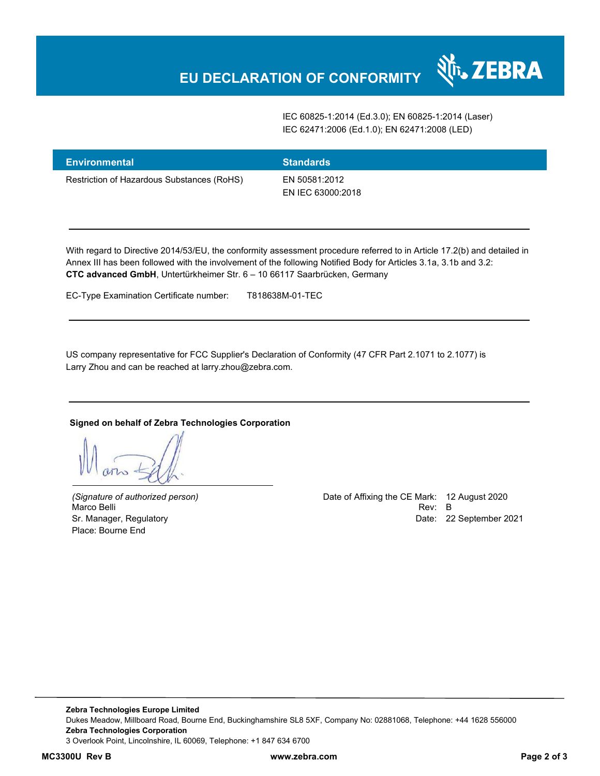IEC 60825-1:2014 (Ed.3.0); EN 60825-1:2014 (Laser) IEC 62471:2006 (Ed.1.0); EN 62471:2008 (LED)

N<sub>I</sub> ZEBRA

| <b>Environmental</b>                       | <b>Standards</b>                   |
|--------------------------------------------|------------------------------------|
| Restriction of Hazardous Substances (RoHS) | EN 50581:2012<br>EN IEC 63000:2018 |

With regard to Directive 2014/53/EU, the conformity assessment procedure referred to in Article 17.2(b) and detailed in Annex III has been followed with the involvement of the following Notified Body for Articles 3.1a, 3.1b and 3.2: **CTC advanced GmbH**, Untertürkheimer Str. 6 – 10 66117 Saarbrücken, Germany

EC-Type Examination Certificate number: T818638M-01-TEC

US company representative for FCC Supplier's Declaration of Conformity (47 CFR Part 2.1071 to 2.1077) is Larry Zhou and can be reached at larry.zhou@zebra.com.

#### **Signed on behalf of Zebra Technologies Corporation**

Place: Bourne End

*(Signature of authorized person)* Date of Affixing the CE Mark: 12 August 2020 Marco Belli Rev: B مستقادة المستقادة المستقدمة المستقدمة المستقدمة المستقدمة المستقدمة المستقدمة المستقدمة المستقدمة Sr. Manager, Regulatory Date: 22 September 2021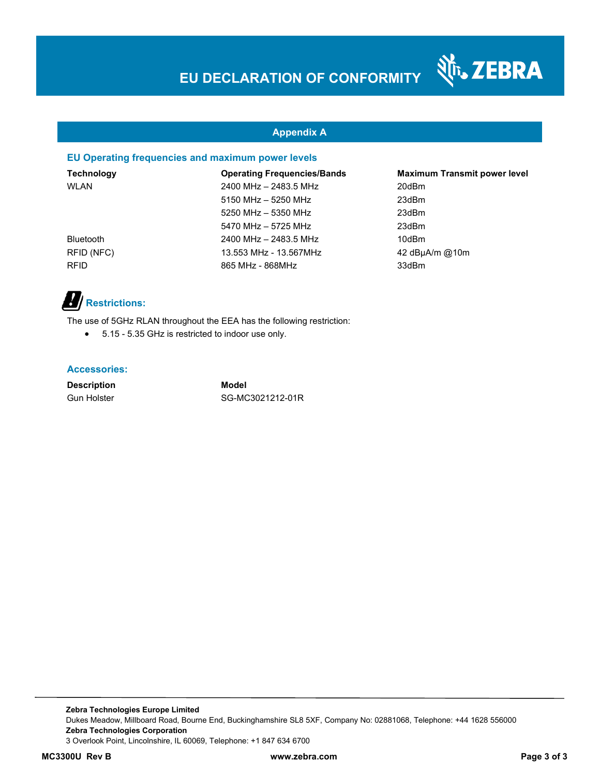#### **Appendix A**

#### **EU Operating frequencies and maximum power levels**

**Technology Operating Frequencies/Bands Maximum Transmit power level**  WLAN 2400 MHz – 2483.5 MHz 20dBm 5150 MHz – 5250 MHz 23dBm 5250 MHz – 5350 MHz 23dBm 5470 MHz – 5725 MHz 23dBm Bluetooth 2400 MHz – 2483.5 MHz 10dBm RFID (NFC) 13.553 MHz - 13.567MHz 42 dBµA/m @10m RFID 865 MHz - 868 MHz 33dBm

र्शे<sub>ं</sub> ZEBRA

### **Restrictions:**

The use of 5GHz RLAN throughout the EEA has the following restriction:

5.15 - 5.35 GHz is restricted to indoor use only.

#### **Accessories:**

**Description Model**

Gun Holster SG-MC3021212-01R

**Zebra Technologies Europe Limited**  Dukes Meadow, Millboard Road, Bourne End, Buckinghamshire SL8 5XF, Company No: 02881068, Telephone: +44 1628 556000 **Zebra Technologies Corporation**  3 Overlook Point, Lincolnshire, IL 60069, Telephone: +1 847 634 6700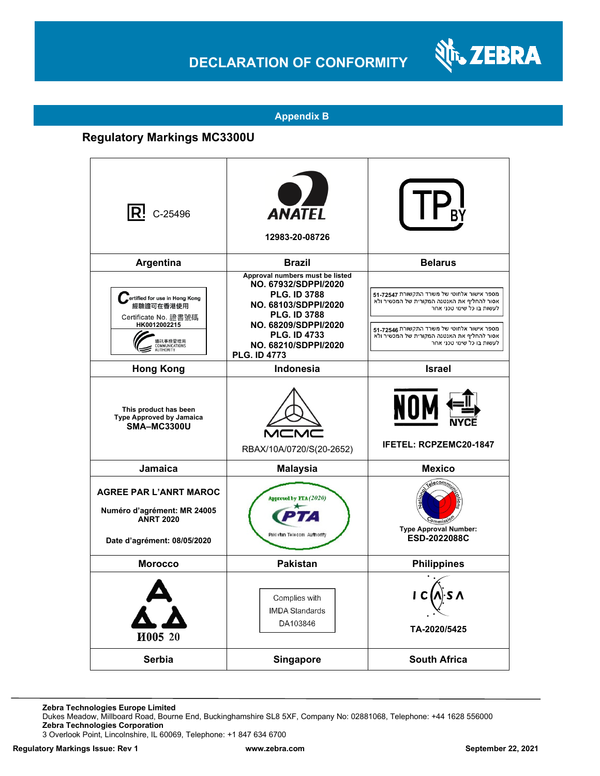## **DECLARATION OF CONFORMITY**



#### **Appendix B**

### **Regulatory Markings MC3300U**

| $ {\sf R}$ ! C-25496                                                                                                         | <b>ANATEL</b><br>12983-20-08726                                                                                                                                                                                             |                                                                                                                                                                                                                                                    |
|------------------------------------------------------------------------------------------------------------------------------|-----------------------------------------------------------------------------------------------------------------------------------------------------------------------------------------------------------------------------|----------------------------------------------------------------------------------------------------------------------------------------------------------------------------------------------------------------------------------------------------|
| Argentina                                                                                                                    | <b>Brazil</b>                                                                                                                                                                                                               | <b>Belarus</b>                                                                                                                                                                                                                                     |
| ertified for use in Hong Kong<br>經驗證可在香港使用<br>Certificate No. 證書號碼<br>HK0012002215<br>通訊事務管理局<br>COMMUNICATIONS<br>AUTHORITY | Approval numbers must be listed<br>NO. 67932/SDPPI/2020<br><b>PLG. ID 3788</b><br>NO. 68103/SDPPI/2020<br><b>PLG. ID 3788</b><br>NO. 68209/SDPPI/2020<br><b>PLG. ID 4733</b><br>NO. 68210/SDPPI/2020<br><b>PLG. ID 4773</b> | מספר אישור אלחוטי של משרד התקשורת 72547-51<br>אסור להחליף את האנטנה המקורית של המכשיר ולא<br>לעשות בו כל שינוי טכני אחר<br>מספר אישור אלחוטי של משרד התקשורת 72546-51<br>אסור להחליף את האנטנה המקורית של המכשיר ולא<br>לעשות בו כל שינוי טכני אחר |
| <b>Hong Kong</b>                                                                                                             | <b>Indonesia</b>                                                                                                                                                                                                            | <b>Israel</b>                                                                                                                                                                                                                                      |
| This product has been<br><b>Type Approved by Jamaica</b><br>SMA-MC3300U                                                      | RBAX/10A/0720/S(20-2652)                                                                                                                                                                                                    | NOM<br><b>IFETEL: RCPZEMC20-1847</b>                                                                                                                                                                                                               |
| Jamaica                                                                                                                      | <b>Malaysia</b>                                                                                                                                                                                                             | <b>Mexico</b>                                                                                                                                                                                                                                      |
| <b>AGREE PAR L'ANRT MAROC</b><br>Numéro d'agrément: MR 24005<br><b>ANRT 2020</b><br>Date d'agrément: 08/05/2020              | Approved by PTA (2020)<br>Paki stan Telecom Authority                                                                                                                                                                       | elecomm<br><b>Type Approval Number:</b><br><b>ESD-2022088C</b>                                                                                                                                                                                     |
| <b>Morocco</b>                                                                                                               | <b>Pakistan</b>                                                                                                                                                                                                             | <b>Philippines</b>                                                                                                                                                                                                                                 |
| И005 20                                                                                                                      | Complies with<br><b>IMDA Standards</b><br>DA103846                                                                                                                                                                          | TA-2020/5425                                                                                                                                                                                                                                       |
| Serbia                                                                                                                       | <b>Singapore</b>                                                                                                                                                                                                            | <b>South Africa</b>                                                                                                                                                                                                                                |

**Zebra Technologies Europe Limited**

Dukes Meadow, Millboard Road, Bourne End, Buckinghamshire SL8 5XF, Company No: 02881068, Telephone: +44 1628 556000 **Zebra Technologies Corporation** 

3 Overlook Point, Lincolnshire, IL 60069, Telephone: +1 847 634 6700